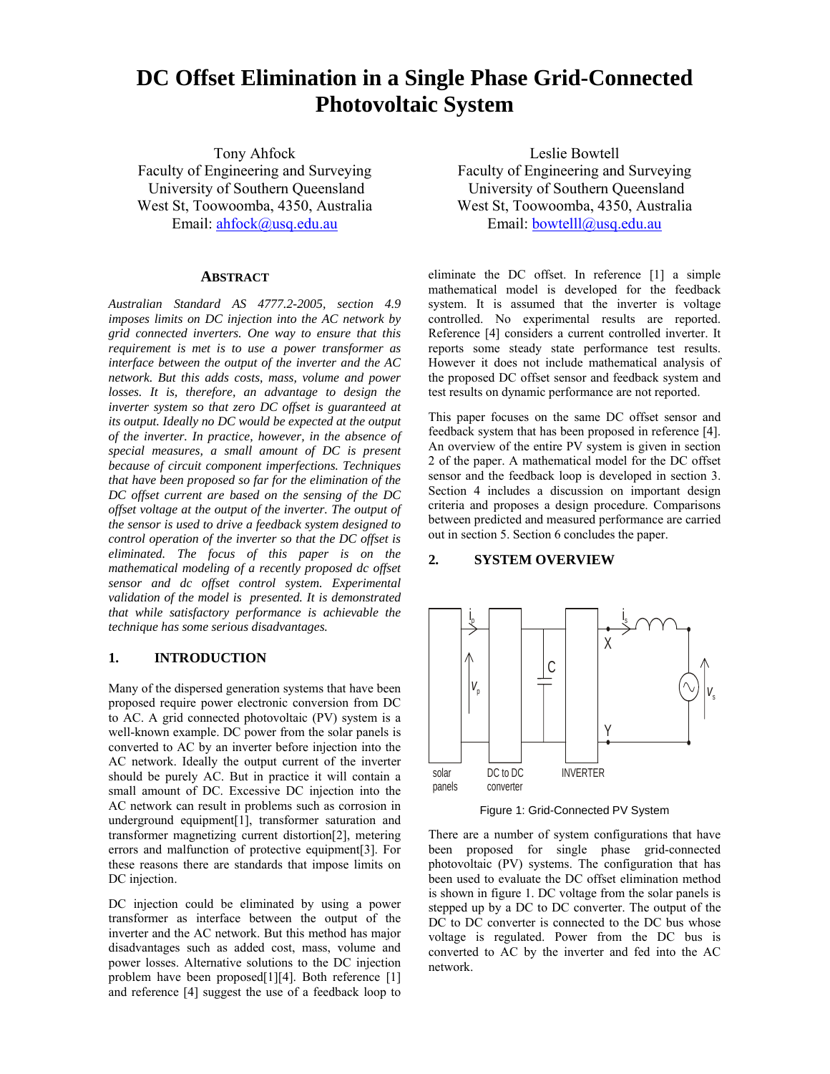# **DC Offset Elimination in a Single Phase Grid-Connected Photovoltaic System**

Tony Ahfock Faculty of Engineering and Surveying University of Southern Queensland West St, Toowoomba, 4350, Australia Email: ahfock@usq.edu.au

### **ABSTRACT**

*Australian Standard AS 4777.2-2005, section 4.9 imposes limits on DC injection into the AC network by grid connected inverters. One way to ensure that this requirement is met is to use a power transformer as interface between the output of the inverter and the AC network. But this adds costs, mass, volume and power losses. It is, therefore, an advantage to design the inverter system so that zero DC offset is guaranteed at its output. Ideally no DC would be expected at the output of the inverter. In practice, however, in the absence of special measures, a small amount of DC is present because of circuit component imperfections. Techniques that have been proposed so far for the elimination of the DC offset current are based on the sensing of the DC offset voltage at the output of the inverter. The output of the sensor is used to drive a feedback system designed to control operation of the inverter so that the DC offset is eliminated. The focus of this paper is on the mathematical modeling of a recently proposed dc offset sensor and dc offset control system. Experimental validation of the model is presented. It is demonstrated that while satisfactory performance is achievable the technique has some serious disadvantages.* 

## **1. INTRODUCTION**

Many of the dispersed generation systems that have been proposed require power electronic conversion from DC to AC. A grid connected photovoltaic (PV) system is a well-known example. DC power from the solar panels is converted to AC by an inverter before injection into the AC network. Ideally the output current of the inverter should be purely AC. But in practice it will contain a small amount of DC. Excessive DC injection into the AC network can result in problems such as corrosion in underground equipment[1], transformer saturation and transformer magnetizing current distortion[2], metering errors and malfunction of protective equipment[3]. For these reasons there are standards that impose limits on DC injection.

DC injection could be eliminated by using a power transformer as interface between the output of the inverter and the AC network. But this method has major disadvantages such as added cost, mass, volume and power losses. Alternative solutions to the DC injection problem have been proposed[1][4]. Both reference [1] and reference [4] suggest the use of a feedback loop to

Leslie Bowtell Faculty of Engineering and Surveying University of Southern Queensland West St, Toowoomba, 4350, Australia Email: bowtelll@usq.edu.au

eliminate the DC offset. In reference [1] a simple mathematical model is developed for the feedback system. It is assumed that the inverter is voltage controlled. No experimental results are reported. Reference [4] considers a current controlled inverter. It reports some steady state performance test results. However it does not include mathematical analysis of the proposed DC offset sensor and feedback system and test results on dynamic performance are not reported.

This paper focuses on the same DC offset sensor and feedback system that has been proposed in reference [4]. An overview of the entire PV system is given in section 2 of the paper. A mathematical model for the DC offset sensor and the feedback loop is developed in section 3. Section 4 includes a discussion on important design criteria and proposes a design procedure. Comparisons between predicted and measured performance are carried out in section 5. Section 6 concludes the paper.

#### **2. SYSTEM OVERVIEW**



Figure 1: Grid-Connected PV System

There are a number of system configurations that have been proposed for single phase grid-connected photovoltaic (PV) systems. The configuration that has been used to evaluate the DC offset elimination method is shown in figure 1. DC voltage from the solar panels is stepped up by a DC to DC converter. The output of the DC to DC converter is connected to the DC bus whose voltage is regulated. Power from the DC bus is converted to AC by the inverter and fed into the AC network.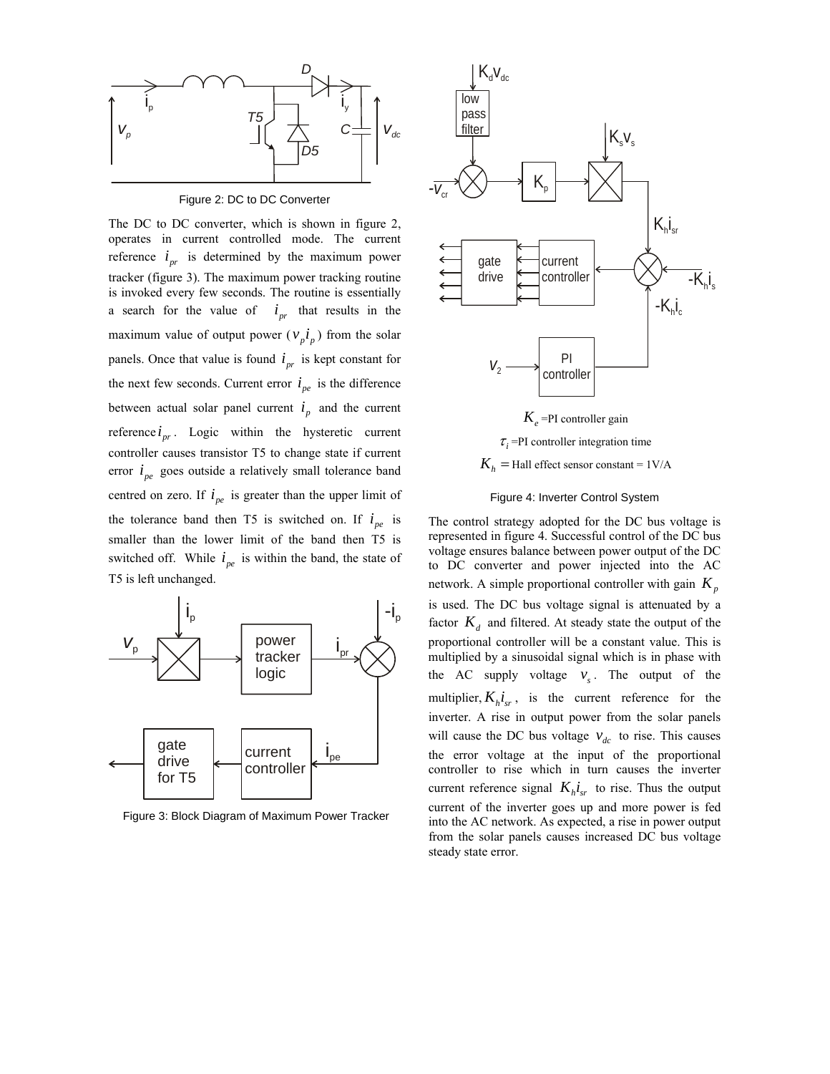

Figure 2: DC to DC Converter

The DC to DC converter, which is shown in figure 2, operates in current controlled mode. The current reference  $i_{pr}$  is determined by the maximum power tracker (figure 3). The maximum power tracking routine is invoked every few seconds. The routine is essentially a search for the value of  $i_{pr}$  that results in the maximum value of output power ( $v_p i_p$ ) from the solar panels. Once that value is found  $i_{pr}$  is kept constant for the next few seconds. Current error  $i_{pe}$  is the difference between actual solar panel current  $i_p$  and the current reference  $i_{nr}$ . Logic within the hysteretic current controller causes transistor T5 to change state if current error  $i_{ne}$  goes outside a relatively small tolerance band centred on zero. If  $i_{pe}$  is greater than the upper limit of the tolerance band then T5 is switched on. If  $i_{pe}$  is smaller than the lower limit of the band then T5 is switched off. While  $i_{pe}$  is within the band, the state of T5 is left unchanged.



Figure 3: Block Diagram of Maximum Power Tracker



 $K_h$  = Hall effect sensor constant =  $1$ V/A



The control strategy adopted for the DC bus voltage is represented in figure 4. Successful control of the DC bus voltage ensures balance between power output of the DC to DC converter and power injected into the AC network. A simple proportional controller with gain  $K_p$ is used. The DC bus voltage signal is attenuated by a factor  $K_d$  and filtered. At steady state the output of the proportional controller will be a constant value. This is multiplied by a sinusoidal signal which is in phase with the AC supply voltage  $v<sub>s</sub>$ . The output of the multiplier,  $K_h i_{sr}$ , is the current reference for the inverter. A rise in output power from the solar panels will cause the DC bus voltage  $v_{dc}$  to rise. This causes the error voltage at the input of the proportional controller to rise which in turn causes the inverter current reference signal  $K_h i_{sr}$  to rise. Thus the output current of the inverter goes up and more power is fed into the AC network. As expected, a rise in power output from the solar panels causes increased DC bus voltage steady state error.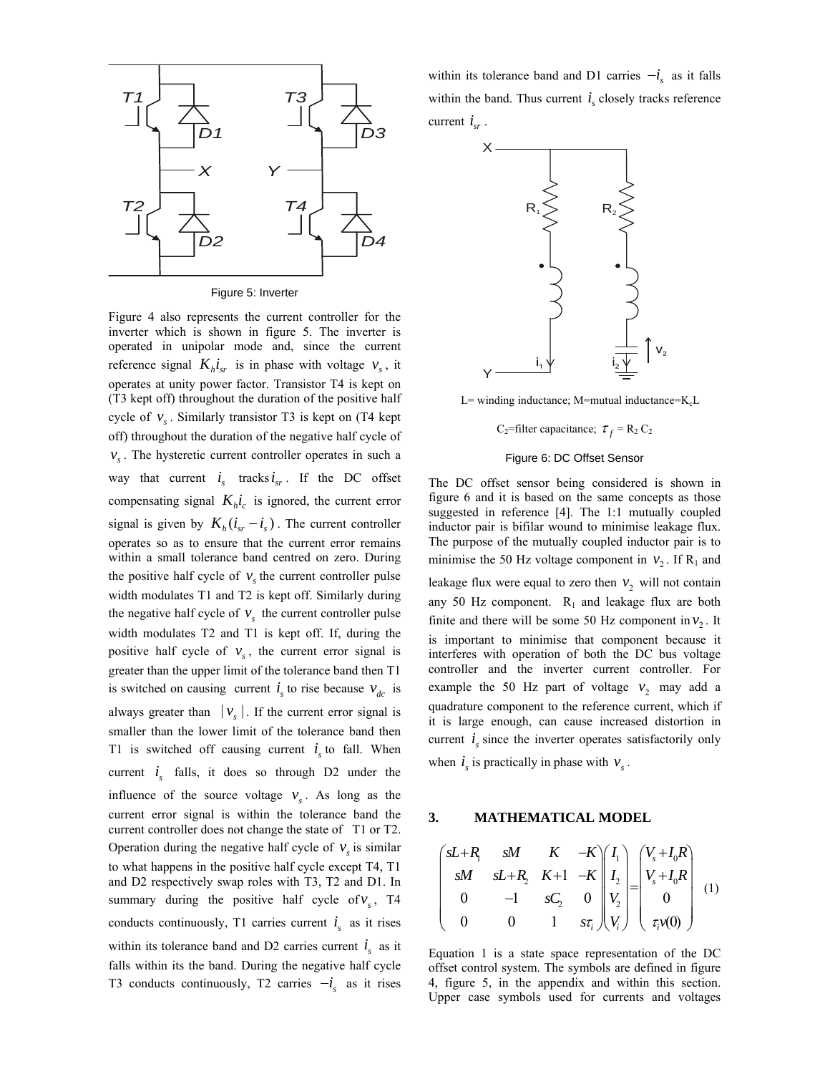

Figure 5: Inverter

Figure 4 also represents the current controller for the inverter which is shown in figure 5. The inverter is operated in unipolar mode and, since the current reference signal  $K_h i_{sr}$  is in phase with voltage  $v_s$ , it operates at unity power factor. Transistor T4 is kept on (T3 kept off) throughout the duration of the positive half cycle of  $v<sub>s</sub>$ . Similarly transistor T3 is kept on (T4 kept off) throughout the duration of the negative half cycle of  $v<sub>s</sub>$ . The hysteretic current controller operates in such a way that current  $i_s$  tracks  $i_{sr}$ . If the DC offset compensating signal  $K_h \dot{i}_c$  is ignored, the current error signal is given by  $K_h ( i_{sr} - i_s )$ . The current controller operates so as to ensure that the current error remains within a small tolerance band centred on zero. During the positive half cycle of  $v<sub>s</sub>$  the current controller pulse width modulates T1 and T2 is kept off. Similarly during the negative half cycle of  $v<sub>s</sub>$  the current controller pulse width modulates T2 and T1 is kept off. If, during the positive half cycle of  $v_s$ , the current error signal is greater than the upper limit of the tolerance band then T1 is switched on causing current  $i<sub>s</sub>$  to rise because  $v<sub>dc</sub>$  is always greater than  $|v_{s}|$ . If the current error signal is smaller than the lower limit of the tolerance band then T1 is switched off causing current  $i<sub>s</sub>$  to fall. When current  $i<sub>s</sub>$  falls, it does so through D2 under the influence of the source voltage  $v<sub>s</sub>$ . As long as the current error signal is within the tolerance band the current controller does not change the state of T1 or T2. Operation during the negative half cycle of  $v<sub>s</sub>$  is similar to what happens in the positive half cycle except T4, T1 and D2 respectively swap roles with T3, T2 and D1. In summary during the positive half cycle of  $v<sub>s</sub>$ , T4 conducts continuously, T1 carries current  $i<sub>s</sub>$  as it rises within its tolerance band and D2 carries current  $i<sub>s</sub>$  as it falls within its the band. During the negative half cycle T3 conducts continuously, T2 carries  $-i_s$  as it rises within its tolerance band and D1 carries  $-i_s$  as it falls within the band. Thus current  $i<sub>s</sub>$  closely tracks reference current  $i_{cr}$ .



L= winding inductance; M=mutual inductance= $K_c$ L

C<sub>2</sub>=filter capacitance;  $\tau_f = R_2 C_2$ 

#### Figure 6: DC Offset Sensor

The DC offset sensor being considered is shown in figure 6 and it is based on the same concepts as those suggested in reference [4]. The 1:1 mutually coupled inductor pair is bifilar wound to minimise leakage flux. The purpose of the mutually coupled inductor pair is to minimise the 50 Hz voltage component in  $v_2$ . If R<sub>1</sub> and leakage flux were equal to zero then  $v_2$  will not contain any 50 Hz component.  $R_1$  and leakage flux are both finite and there will be some 50 Hz component in  $v<sub>2</sub>$ . It is important to minimise that component because it interferes with operation of both the DC bus voltage controller and the inverter current controller. For example the 50 Hz part of voltage  $v_2$  may add a quadrature component to the reference current, which if it is large enough, can cause increased distortion in current  $i<sub>s</sub>$  since the inverter operates satisfactorily only when  $i<sub>s</sub>$  is practically in phase with  $v<sub>s</sub>$ .

#### **3. MATHEMATICAL MODEL**

$$
\begin{pmatrix}\nsL+R_1 & sM & K & -K \\
sM & sL+R_2 & K+1 & -K \\
0 & -1 & sC_2 & 0 \\
0 & 0 & 1 & s\tau_i\n\end{pmatrix}\n\begin{pmatrix}\nI_1 \\
I_2 \\
V_2 \\
V_1\n\end{pmatrix} =\n\begin{pmatrix}\nV_s + I_0 R \\
V_s + I_0 R \\
0 \\
0 \\
\tau_i\nu(0)\n\end{pmatrix} (1)
$$

Equation 1 is a state space representation of the DC offset control system. The symbols are defined in figure 4, figure 5, in the appendix and within this section. Upper case symbols used for currents and voltages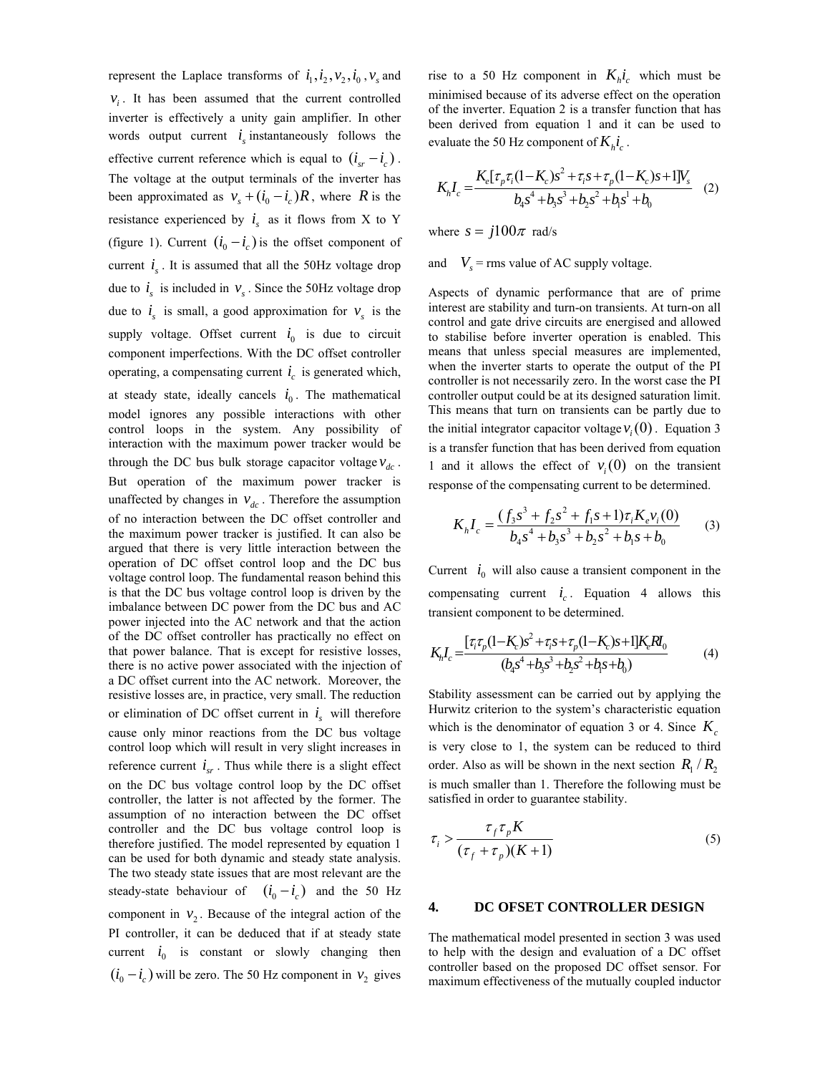represent the Laplace transforms of  $i_1$ ,  $i_2$ ,  $v_2$ ,  $i_0$ ,  $v_s$  and  $v_i$ . It has been assumed that the current controlled inverter is effectively a unity gain amplifier. In other words output current  $i<sub>s</sub>$  instantaneously follows the effective current reference which is equal to  $(i_{cr} - i_c)$ . The voltage at the output terminals of the inverter has been approximated as  $v_s + (i_0 - i_c)R$ , where *R* is the resistance experienced by  $i<sub>s</sub>$  as it flows from X to Y (figure 1). Current  $(i_0 - i_c)$  is the offset component of current  $i_{s}$ . It is assumed that all the 50Hz voltage drop due to  $i_s$  is included in  $v_s$ . Since the 50Hz voltage drop due to  $i_s$  is small, a good approximation for  $v_s$  is the supply voltage. Offset current  $i_0$  is due to circuit component imperfections. With the DC offset controller operating, a compensating current  $i_c$  is generated which, at steady state, ideally cancels  $i_0$ . The mathematical model ignores any possible interactions with other control loops in the system. Any possibility of interaction with the maximum power tracker would be through the DC bus bulk storage capacitor voltage  $v_{dc}$ . But operation of the maximum power tracker is unaffected by changes in  $v_{dc}$ . Therefore the assumption of no interaction between the DC offset controller and the maximum power tracker is justified. It can also be argued that there is very little interaction between the operation of DC offset control loop and the DC bus voltage control loop. The fundamental reason behind this is that the DC bus voltage control loop is driven by the imbalance between DC power from the DC bus and AC power injected into the AC network and that the action of the DC offset controller has practically no effect on that power balance. That is except for resistive losses, there is no active power associated with the injection of a DC offset current into the AC network. Moreover, the resistive losses are, in practice, very small. The reduction or elimination of DC offset current in  $i<sub>s</sub>$  will therefore cause only minor reactions from the DC bus voltage control loop which will result in very slight increases in reference current  $i_{sr}$ . Thus while there is a slight effect on the DC bus voltage control loop by the DC offset controller, the latter is not affected by the former. The assumption of no interaction between the DC offset controller and the DC bus voltage control loop is therefore justified. The model represented by equation 1 can be used for both dynamic and steady state analysis. The two steady state issues that are most relevant are the steady-state behaviour of  $(i_0 - i_c)$  and the 50 Hz component in  $v_2$ . Because of the integral action of the PI controller, it can be deduced that if at steady state  $i_0$  is constant or slowly changing then  $(i_0 - i_c)$  will be zero. The 50 Hz component in  $v_2$  gives

rise to a 50 Hz component in  $K_h i_c$  which must be minimised because of its adverse effect on the operation of the inverter. Equation 2 is a transfer function that has been derived from equation 1 and it can be used to evaluate the 50 Hz component of  $K_h i_c$ .

$$
K_{h}I_{c} = \frac{K_{e}[\tau_{p}\tau_{i}(1-K_{c})s^{2} + \tau_{i}s + \tau_{p}(1-K_{c})s + 1]V_{s}}{b_{4}s^{4} + b_{3}s^{3} + b_{2}s^{2} + b_{1}s^{1} + b_{0}}
$$
 (2)

where  $s = j100\pi$  rad/s

and  $V_s$  = rms value of AC supply voltage.

Aspects of dynamic performance that are of prime interest are stability and turn-on transients. At turn-on all control and gate drive circuits are energised and allowed to stabilise before inverter operation is enabled. This means that unless special measures are implemented, when the inverter starts to operate the output of the PI controller is not necessarily zero. In the worst case the PI controller output could be at its designed saturation limit. This means that turn on transients can be partly due to the initial integrator capacitor voltage  $v_i(0)$ . Equation 3 is a transfer function that has been derived from equation 1 and it allows the effect of  $v_i(0)$  on the transient response of the compensating current to be determined.

$$
K_h I_c = \frac{(f_3 s^3 + f_2 s^2 + f_1 s + 1)\tau_i K_e v_i(0)}{b_4 s^4 + b_3 s^3 + b_2 s^2 + b_1 s + b_0}
$$
(3)

Current  $i_0$  will also cause a transient component in the compensating current  $i_c$ . Equation 4 allows this transient component to be determined.

$$
K_{h}I_{c} = \frac{[\tau_{i}\tau_{p}(1-K_{c})s^{2} + \tau_{i}s + \tau_{p}(1-K_{c})s + 1]K_{e}R I_{0}}{(b_{4}s^{4} + b_{3}s^{3} + b_{2}s^{2} + b_{1}s + b_{0})}
$$
(4)

Stability assessment can be carried out by applying the Hurwitz criterion to the system's characteristic equation which is the denominator of equation 3 or 4. Since  $K_c$ is very close to 1, the system can be reduced to third order. Also as will be shown in the next section  $R_1/R_2$ is much smaller than 1. Therefore the following must be satisfied in order to guarantee stability.

$$
\tau_i > \frac{\tau_f \tau_p K}{(\tau_f + \tau_p)(K+1)}
$$
\n<sup>(5)</sup>

#### **4. DC OFSET CONTROLLER DESIGN**

The mathematical model presented in section 3 was used to help with the design and evaluation of a DC offset controller based on the proposed DC offset sensor. For maximum effectiveness of the mutually coupled inductor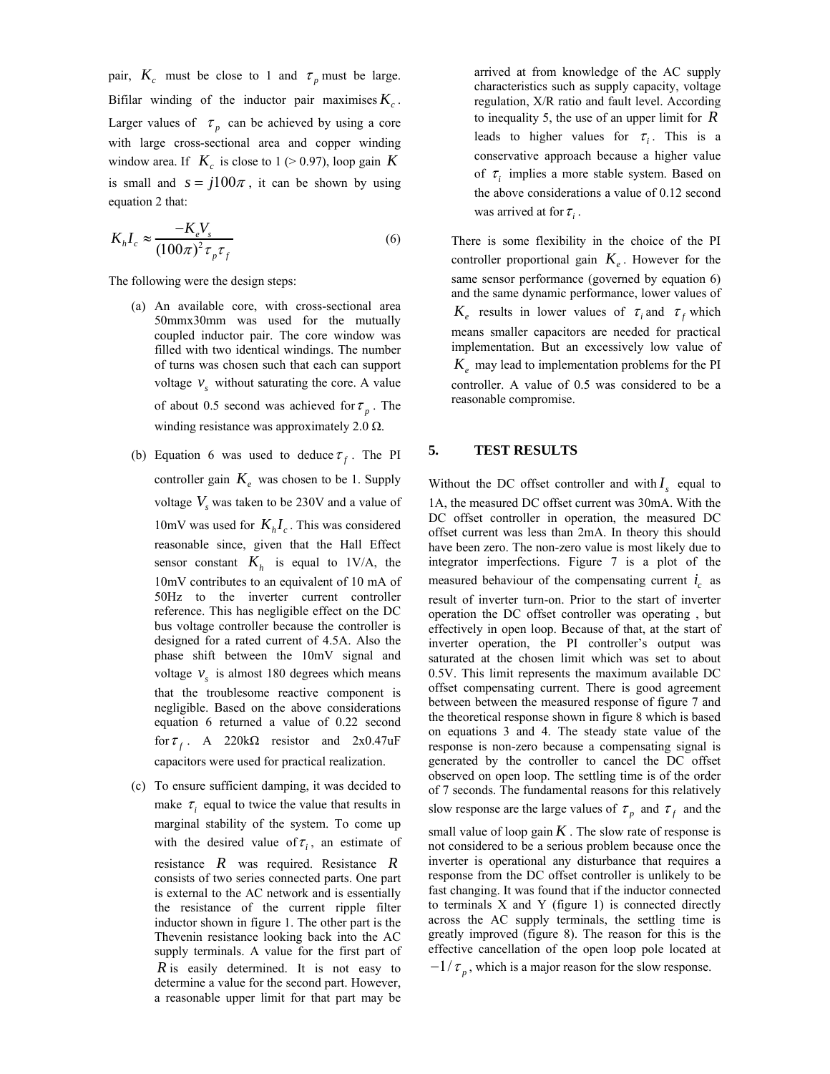pair,  $K_c$  must be close to 1 and  $\tau_p$  must be large. Bifilar winding of the inductor pair maximises  $K_c$ . Larger values of  $\tau_p$  can be achieved by using a core with large cross-sectional area and copper winding window area. If  $K_c$  is close to 1 (> 0.97), loop gain K is small and  $s = j100\pi$ , it can be shown by using equation 2 that:

$$
K_h I_c \approx \frac{-K_e V_s}{(100\pi)^2 \tau_p \tau_f} \tag{6}
$$

The following were the design steps:

- (a) An available core, with cross-sectional area 50mmx30mm was used for the mutually coupled inductor pair. The core window was filled with two identical windings. The number of turns was chosen such that each can support voltage  $v<sub>s</sub>$  without saturating the core. A value of about 0.5 second was achieved for  $\tau_p$ . The winding resistance was approximately 2.0  $\Omega$ .
- (b) Equation 6 was used to deduce  $\tau_f$ . The PI controller gain  $K_e$  was chosen to be 1. Supply voltage  $V<sub>s</sub>$  was taken to be 230V and a value of 10mV was used for  $K_h I_c$ . This was considered reasonable since, given that the Hall Effect sensor constant  $K_h$  is equal to 1V/A, the 10mV contributes to an equivalent of 10 mA of 50Hz to the inverter current controller reference. This has negligible effect on the DC bus voltage controller because the controller is designed for a rated current of 4.5A. Also the phase shift between the 10mV signal and voltage  $v<sub>s</sub>$  is almost 180 degrees which means that the troublesome reactive component is negligible. Based on the above considerations equation 6 returned a value of 0.22 second for  $\tau_f$ . A 220kΩ resistor and 2x0.47uF capacitors were used for practical realization.
- (c) To ensure sufficient damping, it was decided to make  $\tau_i$  equal to twice the value that results in marginal stability of the system. To come up with the desired value of  $\tau_i$ , an estimate of resistance *R* was required. Resistance *R* consists of two series connected parts. One part is external to the AC network and is essentially the resistance of the current ripple filter inductor shown in figure 1. The other part is the Thevenin resistance looking back into the AC supply terminals. A value for the first part of *R* is easily determined. It is not easy to determine a value for the second part. However, a reasonable upper limit for that part may be

arrived at from knowledge of the AC supply characteristics such as supply capacity, voltage regulation, X/R ratio and fault level. According to inequality 5, the use of an upper limit for *R* leads to higher values for  $\tau_i$ . This is a conservative approach because a higher value of  $\tau_i$  implies a more stable system. Based on the above considerations a value of 0.12 second was arrived at for  $\tau_i$ .

There is some flexibility in the choice of the PI controller proportional gain  $K_e$ . However for the same sensor performance (governed by equation 6) and the same dynamic performance, lower values of  $K_e$  results in lower values of  $\tau_i$  and  $\tau_f$  which means smaller capacitors are needed for practical implementation. But an excessively low value of  $K_e$  may lead to implementation problems for the PI controller. A value of 0.5 was considered to be a reasonable compromise.

#### **5. TEST RESULTS**

Without the DC offset controller and with  $I_s$  equal to 1A, the measured DC offset current was 30mA. With the DC offset controller in operation, the measured DC offset current was less than 2mA. In theory this should have been zero. The non-zero value is most likely due to integrator imperfections. Figure 7 is a plot of the measured behaviour of the compensating current  $i_c$  as result of inverter turn-on. Prior to the start of inverter operation the DC offset controller was operating , but effectively in open loop. Because of that, at the start of inverter operation, the PI controller's output was saturated at the chosen limit which was set to about 0.5V. This limit represents the maximum available DC offset compensating current. There is good agreement between between the measured response of figure 7 and the theoretical response shown in figure 8 which is based on equations 3 and 4. The steady state value of the response is non-zero because a compensating signal is generated by the controller to cancel the DC offset observed on open loop. The settling time is of the order of 7 seconds. The fundamental reasons for this relatively

slow response are the large values of  $\tau_p$  and  $\tau_f$  and the

small value of loop gain  $K$ . The slow rate of response is not considered to be a serious problem because once the inverter is operational any disturbance that requires a response from the DC offset controller is unlikely to be fast changing. It was found that if the inductor connected to terminals X and Y (figure 1) is connected directly across the AC supply terminals, the settling time is greatly improved (figure 8). The reason for this is the effective cancellation of the open loop pole located at  $-1/\tau_p$ , which is a major reason for the slow response.